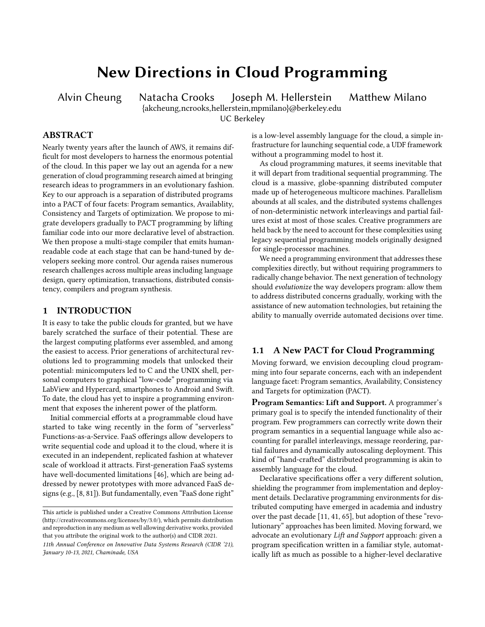# New Directions in Cloud Programming

Alvin Cheung Natacha Crooks Joseph M. Hellerstein Matthew Milano {akcheung,ncrooks,hellerstein,mpmilano}@berkeley.edu UC Berkeley

# ABSTRACT

Nearly twenty years after the launch of AWS, it remains difficult for most developers to harness the enormous potential of the cloud. In this paper we lay out an agenda for a new generation of cloud programming research aimed at bringing research ideas to programmers in an evolutionary fashion. Key to our approach is a separation of distributed programs into a PACT of four facets: Program semantics, Availablity, Consistency and Targets of optimization. We propose to migrate developers gradually to PACT programming by lifting familiar code into our more declarative level of abstraction. We then propose a multi-stage compiler that emits humanreadable code at each stage that can be hand-tuned by developers seeking more control. Our agenda raises numerous research challenges across multiple areas including language design, query optimization, transactions, distributed consistency, compilers and program synthesis.

# 1 INTRODUCTION

It is easy to take the public clouds for granted, but we have barely scratched the surface of their potential. These are the largest computing platforms ever assembled, and among the easiest to access. Prior generations of architectural revolutions led to programming models that unlocked their potential: minicomputers led to C and the UNIX shell, personal computers to graphical "low-code" programming via LabView and Hypercard, smartphones to Android and Swift. To date, the cloud has yet to inspire a programming environment that exposes the inherent power of the platform.

Initial commercial efforts at a programmable cloud have started to take wing recently in the form of "serverless" Functions-as-a-Service. FaaS offerings allow developers to write sequential code and upload it to the cloud, where it is executed in an independent, replicated fashion at whatever scale of workload it attracts. First-generation FaaS systems have well-documented limitations [\[46\]](#page-12-0), which are being addressed by newer prototypes with more advanced FaaS designs (e.g., [\[8,](#page-12-1) [81\]](#page-13-0)). But fundamentally, even "FaaS done right"

is a low-level assembly language for the cloud, a simple infrastructure for launching sequential code, a UDF framework without a programming model to host it.

As cloud programming matures, it seems inevitable that it will depart from traditional sequential programming. The cloud is a massive, globe-spanning distributed computer made up of heterogeneous multicore machines. Parallelism abounds at all scales, and the distributed systems challenges of non-deterministic network interleavings and partial failures exist at most of those scales. Creative programmers are held back by the need to account for these complexities using legacy sequential programming models originally designed for single-processor machines.

We need a programming environment that addresses these complexities directly, but without requiring programmers to radically change behavior. The next generation of technology should evolutionize the way developers program: allow them to address distributed concerns gradually, working with the assistance of new automation technologies, but retaining the ability to manually override automated decisions over time.

# <span id="page-0-0"></span>1.1 A New PACT for Cloud Programming

Moving forward, we envision decoupling cloud programming into four separate concerns, each with an independent language facet: Program semantics, Availability, Consistency and Targets for optimization (PACT).

Program Semantics: Lift and Support. A programmer's primary goal is to specify the intended functionality of their program. Few programmers can correctly write down their program semantics in a sequential language while also accounting for parallel interleavings, message reordering, partial failures and dynamically autoscaling deployment. This kind of "hand-crafted" distributed programming is akin to assembly language for the cloud.

Declarative specifications offer a very different solution, shielding the programmer from implementation and deployment details. Declarative programming environments for distributed computing have emerged in academia and industry over the past decade [\[11,](#page-12-2) [41,](#page-12-3) [65\]](#page-13-1), but adoption of these "revolutionary" approaches has been limited. Moving forward, we advocate an evolutionary Lift and Support approach: given a program specification written in a familiar style, automatically lift as much as possible to a higher-level declarative

This article is published under a Creative Commons Attribution License (http://creativecommons.org/licenses/by/3.0/), which permits distribution and reproduction in any medium as well allowing derivative works, provided that you attribute the original work to the author(s) and CIDR 2021.

<sup>11</sup>th Annual Conference on Innovative Data Systems Research (CIDR '21), January 10-13, 2021, Chaminade, USA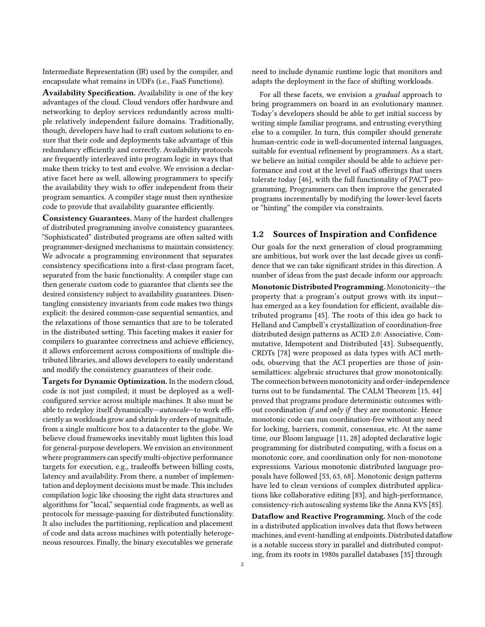Intermediate Representation (IR) used by the compiler, and encapsulate what remains in UDFs (i.e., FaaS Functions).

Availability Specification. Availability is one of the key advantages of the cloud. Cloud vendors offer hardware and networking to deploy services redundantly across multiple relatively independent failure domains. Traditionally, though, developers have had to craft custom solutions to ensure that their code and deployments take advantage of this redundancy efficiently and correctly. Availability protocols are frequently interleaved into program logic in ways that make them tricky to test and evolve. We envision a declarative facet here as well, allowing programmers to specify the availability they wish to offer independent from their program semantics. A compiler stage must then synthesize code to provide that availability guarantee efficiently.

Consistency Guarantees. Many of the hardest challenges of distributed programming involve consistency guarantees. "Sophisticated" distributed programs are often salted with programmer-designed mechanisms to maintain consistency. We advocate a programming environment that separates consistency specifications into a first-class program facet, separated from the basic functionality. A compiler stage can then generate custom code to guarantee that clients see the desired consistency subject to availability guarantees. Disentangling consistency invariants from code makes two things explicit: the desired common-case sequential semantics, and the relaxations of those semantics that are to be tolerated in the distributed setting. This faceting makes it easier for compilers to guarantee correctness and achieve efficiency, it allows enforcement across compositions of multiple distributed libraries, and allows developers to easily understand and modify the consistency guarantees of their code.

Targets for Dynamic Optimization. In the modern cloud, code is not just compiled; it must be deployed as a wellconfigured service across multiple machines. It also must be able to redeploy itself dynamically—autoscale—to work efficiently as workloads grow and shrink by orders of magnitude, from a single multicore box to a datacenter to the globe. We believe cloud frameworks inevitably must lighten this load for general-purpose developers. We envision an environment where programmers can specify multi-objective performance targets for execution, e.g., tradeoffs between billing costs, latency and availability. From there, a number of implementation and deployment decisions must be made. This includes compilation logic like choosing the right data structures and algorithms for "local," sequential code fragments, as well as protocols for message-passing for distributed functionality. It also includes the partitioning, replication and placement of code and data across machines with potentially heterogeneous resources. Finally, the binary executables we generate

need to include dynamic runtime logic that monitors and adapts the deployment in the face of shifting workloads.

For all these facets, we envision a gradual approach to bring programmers on board in an evolutionary manner. Today's developers should be able to get initial success by writing simple familiar programs, and entrusting everything else to a compiler. In turn, this compiler should generate human-centric code in well-documented internal languages, suitable for eventual refinement by programmers. As a start, we believe an initial compiler should be able to achieve performance and cost at the level of FaaS offerings that users tolerate today [\[46\]](#page-12-0), with the full functionality of PACT programming. Programmers can then improve the generated programs incrementally by modifying the lower-level facets or "hinting" the compiler via constraints.

# 1.2 Sources of Inspiration and Confidence

Our goals for the next generation of cloud programming are ambitious, but work over the last decade gives us confidence that we can take significant strides in this direction. A number of ideas from the past decade inform our approach:

Monotonic Distributed Programming. Monotonicity—the property that a program's output grows with its input has emerged as a key foundation for efficient, available distributed programs [\[45\]](#page-12-4). The roots of this idea go back to Helland and Campbell's crystallization of coordination-free distributed design patterns as ACID 2.0: Associative, Commutative, Idempotent and Distributed [\[43\]](#page-12-5). Subsequently, CRDTs [\[78\]](#page-13-2) were proposed as data types with ACI methods, observing that the ACI properties are those of joinsemilattices: algebraic structures that grow monotonically. The connection between monotonicity and order-independence turns out to be fundamental. The CALM Theorem [\[15,](#page-12-6) [44\]](#page-12-7) proved that programs produce deterministic outcomes without coordination *if and only if they are monotonic*. Hence monotonic code can run coordination-free without any need for locking, barriers, commit, consensus, etc. At the same time, our Bloom language [\[11,](#page-12-2) [28\]](#page-12-8) adopted declarative logic programming for distributed computing, with a focus on a monotonic core, and coordination only for non-monotone expressions. Various monotonic distributed language proposals have followed [\[53,](#page-13-3) [63,](#page-13-4) [68\]](#page-13-5). Monotonic design patterns have led to clean versions of complex distributed applications like collaborative editing [\[83\]](#page-13-6), and high-performance, consistency-rich autoscaling systems like the Anna KVS [\[85\]](#page-13-7).

Dataflow and Reactive Programming. Much of the code in a distributed application involves data that flows between machines, and event-handling at endpoints. Distributed dataflow is a notable success story in parallel and distributed computing, from its roots in 1980s parallel databases [\[35\]](#page-12-9) through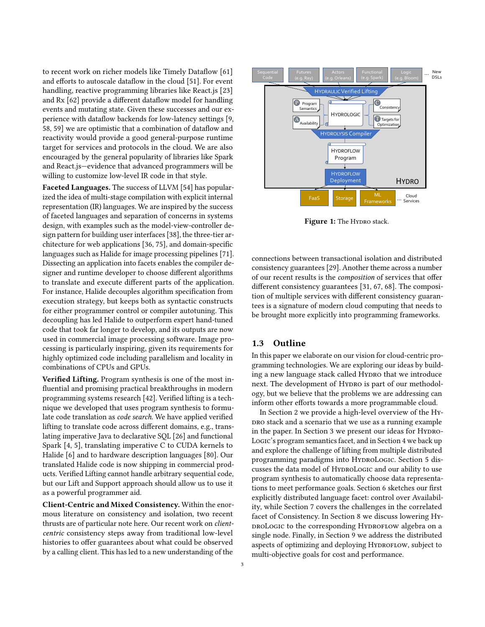to recent work on richer models like Timely Dataflow [\[61\]](#page-13-8) and efforts to autoscale dataflow in the cloud [\[51\]](#page-13-9). For event handling, reactive programming libraries like React.js [\[23\]](#page-12-10) and Rx [\[62\]](#page-13-10) provide a different dataflow model for handling events and mutating state. Given these successes and our experience with dataflow backends for low-latency settings [\[9,](#page-12-11) [58,](#page-13-11) [59\]](#page-13-12) we are optimistic that a combination of dataflow and reactivity would provide a good general-purpose runtime target for services and protocols in the cloud. We are also encouraged by the general popularity of libraries like Spark and React.js—evidence that advanced programmers will be willing to customize low-level IR code in that style.

Faceted Languages. The success of LLVM [\[54\]](#page-13-13) has popularized the idea of multi-stage compilation with explicit internal representation (IR) languages. We are inspired by the success of faceted languages and separation of concerns in systems design, with examples such as the model-view-controller design pattern for building user interfaces [\[38\]](#page-12-12), the three-tier architecture for web applications [\[36,](#page-12-13) [75\]](#page-13-14), and domain-specific languages such as Halide for image processing pipelines [\[71\]](#page-13-15). Dissecting an application into facets enables the compiler designer and runtime developer to choose different algorithms to translate and execute different parts of the application. For instance, Halide decouples algorithm specification from execution strategy, but keeps both as syntactic constructs for either programmer control or compiler autotuning. This decoupling has led Halide to outperform expert hand-tuned code that took far longer to develop, and its outputs are now used in commercial image processing software. Image processing is particularly inspiring, given its requirements for highly optimized code including parallelism and locality in combinations of CPUs and GPUs.

Verified Lifting. Program synthesis is one of the most influential and promising practical breakthroughs in modern programming systems research [\[42\]](#page-12-14). Verified lifting is a technique we developed that uses program synthesis to formulate code translation as code search. We have applied verified lifting to translate code across different domains, e.g., translating imperative Java to declarative SQL [\[26\]](#page-12-15) and functional Spark [\[4,](#page-12-16) [5\]](#page-12-17), translating imperative C to CUDA kernels to Halide [\[6\]](#page-12-18) and to hardware description languages [\[80\]](#page-13-16). Our translated Halide code is now shipping in commercial products. Verified Lifting cannot handle arbitrary sequential code, but our Lift and Support approach should allow us to use it as a powerful programmer aid.

Client-Centric and Mixed Consistency. Within the enormous literature on consistency and isolation, two recent thrusts are of particular note here. Our recent work on clientcentric consistency steps away from traditional low-level histories to offer guarantees about what could be observed by a calling client. This has led to a new understanding of the

<span id="page-2-0"></span>

Figure 1: The HYDRO stack.

connections between transactional isolation and distributed consistency guarantees [\[29\]](#page-12-19). Another theme across a number of our recent results is the composition of services that offer different consistency guarantees [\[31,](#page-12-20) [67,](#page-13-17) [68\]](#page-13-5). The composition of multiple services with different consistency guarantees is a signature of modern cloud computing that needs to be brought more explicitly into programming frameworks.

#### 1.3 Outline

In this paper we elaborate on our vision for cloud-centric programming technologies. We are exploring our ideas by building a new language stack called HYDRO that we introduce next. The development of Hypro is part of our methodology, but we believe that the problems we are addressing can inform other efforts towards a more programmable cloud.

In Section [2](#page-3-0) we provide a high-level overview of the Hy-DRO stack and a scenario that we use as a running example in the paper. In Section [3](#page-4-0) we present our ideas for HYDRO-Logic's program semantics facet, and in Section [4](#page-6-0) we back up and explore the challenge of lifting from multiple distributed programming paradigms into HyproLogic. Section [5](#page-6-1) discusses the data model of HYDROLOGIC and our ability to use program synthesis to automatically choose data representations to meet performance goals. Section [6](#page-7-0) sketches our first explicitly distributed language facet: control over Availability, while Section [7](#page-8-0) covers the challenges in the correlated facet of Consistency. In Section [8](#page-9-0) we discuss lowering Hy-DROLOGIC to the corresponding HYDROFLOW algebra on a single node. Finally, in Section [9](#page-10-0) we address the distributed aspects of optimizing and deploying HYDROFLOW, subject to multi-objective goals for cost and performance.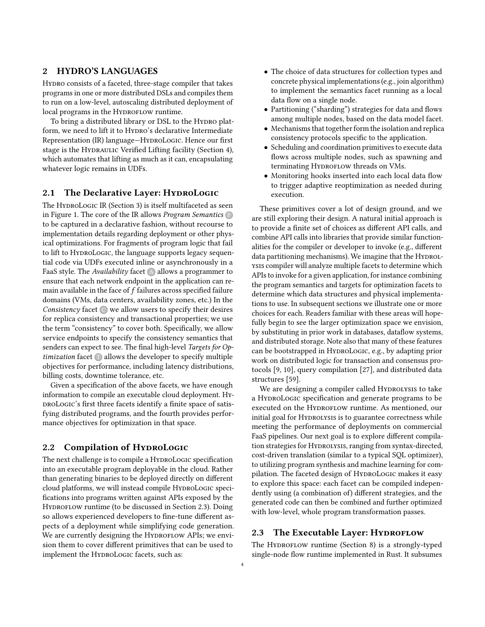# <span id="page-3-0"></span>2 HYDRO'S LANGUAGES

HYDRO consists of a faceted, three-stage compiler that takes programs in one or more distributed DSLs and compiles them to run on a low-level, autoscaling distributed deployment of local programs in the HYDROFLOW runtime.

To bring a distributed library or DSL to the HYDRO platform, we need to lift it to HYDRO's declarative Intermediate Representation (IR) language-HyproLogic. Hence our first stage is the HYDRAULIC Verified Lifting facility (Section [4\)](#page-6-0), which automates that lifting as much as it can, encapsulating whatever logic remains in UDFs.

## 2.1 The Declarative Layer: HYDROLOGIC

The HYDROLOGIC IR (Section [3\)](#page-4-0) is itself multifaceted as seen in Figure [1.](#page-2-0) The core of the IR allows *Program Semantics*  $\mathbb{P}$ to be captured in a declarative fashion, without recourse to implementation details regarding deployment or other physical optimizations. For fragments of program logic that fail to lift to HYDROLOGIC, the language supports legacy sequential code via UDFs executed inline or asynchronously in a FaaS style. The Availability facet  $\bigtriangleup$  allows a programmer to ensure that each network endpoint in the application can remain available in the face of  $f$  failures across specified failure domains (VMs, data centers, availability zones, etc.) In the Consistency facet  $\bigcirc$  we allow users to specify their desires for replica consistency and transactional properties; we use the term "consistency" to cover both. Specifically, we allow service endpoints to specify the consistency semantics that senders can expect to see. The final high-level Targets for Op $timiization$  facet  $\bigcirc$  allows the developer to specify multiple objectives for performance, including latency distributions, billing costs, downtime tolerance, etc.

Given a specification of the above facets, we have enough information to compile an executable cloud deployment. HyproLogic's first three facets identify a finite space of satisfying distributed programs, and the fourth provides performance objectives for optimization in that space.

#### 2.2 Compilation of HyproLogic

The next challenge is to compile a HyproLogic specification into an executable program deployable in the cloud. Rather than generating binaries to be deployed directly on different cloud platforms, we will instead compile HyproLogic specifications into programs written against APIs exposed by the HYDROFLOW runtime (to be discussed in Section [2.3\)](#page-3-1). Doing so allows experienced developers to fine-tune different aspects of a deployment while simplifying code generation. We are currently designing the HYDROFLOW APIs; we envision them to cover different primitives that can be used to implement the HYDROLOGIC facets, such as:

- The choice of data structures for collection types and concrete physical implementations (e.g., join algorithm) to implement the semantics facet running as a local data flow on a single node.
- Partitioning ("sharding") strategies for data and flows among multiple nodes, based on the data model facet.
- Mechanisms that together form the isolation and replica consistency protocols specific to the application.
- Scheduling and coordination primitives to execute data flows across multiple nodes, such as spawning and terminating HYDROFLOW threads on VMs.
- Monitoring hooks inserted into each local data flow to trigger adaptive reoptimization as needed during execution.

These primitives cover a lot of design ground, and we are still exploring their design. A natural initial approach is to provide a finite set of choices as different API calls, and combine API calls into libraries that provide similar functionalities for the compiler or developer to invoke (e.g., different data partitioning mechanisms). We imagine that the HYDROLysis compiler will analyze multiple facets to determine which APIs to invoke for a given application, for instance combining the program semantics and targets for optimization facets to determine which data structures and physical implementations to use. In subsequent sections we illustrate one or more choices for each. Readers familiar with these areas will hopefully begin to see the larger optimization space we envision, by substituting in prior work in databases, dataflow systems, and distributed storage. Note also that many of these features can be bootstrapped in HyproLogic, e.g., by adapting prior work on distributed logic for transaction and consensus protocols [\[9,](#page-12-11) [10\]](#page-12-21), query compilation [\[27\]](#page-12-22), and distributed data structures [\[59\]](#page-13-12).

We are designing a compiler called HyproLysis to take a HyproLogic specification and generate programs to be executed on the HYDROFLOW runtime. As mentioned, our initial goal for HYDROLYSIS is to guarantee correctness while meeting the performance of deployments on commercial FaaS pipelines. Our next goal is to explore different compilation strategies for HYDROLYSIS, ranging from syntax-directed, cost-driven translation (similar to a typical SQL optimizer), to utilizing program synthesis and machine learning for compilation. The faceted design of HyproLogic makes it easy to explore this space: each facet can be compiled independently using (a combination of) different strategies, and the generated code can then be combined and further optimized with low-level, whole program transformation passes.

# <span id="page-3-1"></span>2.3 The Executable Layer: HYDROFLOW

The HYDROFLOW runtime (Section [8\)](#page-9-0) is a strongly-typed single-node flow runtime implemented in Rust. It subsumes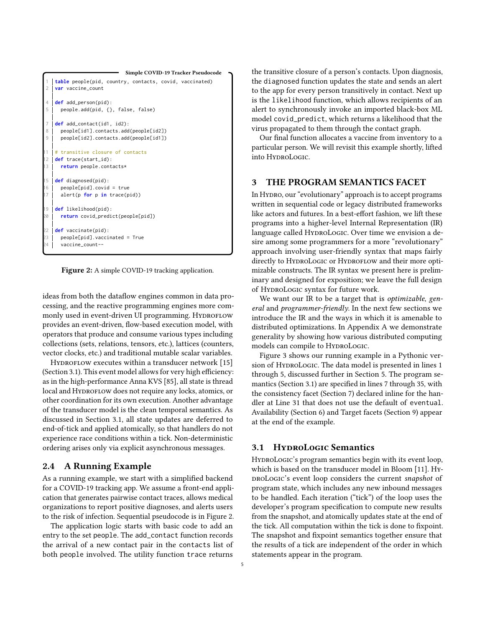<span id="page-4-2"></span>

Figure 2: A simple COVID-19 tracking application.

ideas from both the dataflow engines common in data processing, and the reactive programming engines more commonly used in event-driven UI programming. HYDROFLOW provides an event-driven, flow-based execution model, with operators that produce and consume various types including collections (sets, relations, tensors, etc.), lattices (counters, vector clocks, etc.) and traditional mutable scalar variables.

HYDROFLOW executes within a transducer network [\[15\]](#page-12-6) (Section [3.1\)](#page-4-1). This event model allows for very high efficiency: as in the high-performance Anna KVS [\[85\]](#page-13-7), all state is thread local and HYDROFLOW does not require any locks, atomics, or other coordination for its own execution. Another advantage of the transducer model is the clean temporal semantics. As discussed in Section [3.1,](#page-4-1) all state updates are deferred to end-of-tick and applied atomically, so that handlers do not experience race conditions within a tick. Non-deterministic ordering arises only via explicit asynchronous messages.

# 2.4 A Running Example

As a running example, we start with a simplified backend for a COVID-19 tracking app. We assume a front-end application that generates pairwise contact traces, allows medical organizations to report positive diagnoses, and alerts users to the risk of infection. Sequential pseudocode is in Figure [2.](#page-4-2)

The application logic starts with basic code to add an entry to the set people. The add\_contact function records the arrival of a new contact pair in the contacts list of both people involved. The utility function trace returns

the transitive closure of a person's contacts. Upon diagnosis, the diagnosed function updates the state and sends an alert to the app for every person transitively in contact. Next up is the likelihood function, which allows recipients of an alert to synchronously invoke an imported black-box ML model covid\_predict, which returns a likelihood that the virus propagated to them through the contact graph.

Our final function allocates a vaccine from inventory to a particular person. We will revisit this example shortly, lifted into HydroLogic.

# <span id="page-4-0"></span>3 THE PROGRAM SEMANTICS FACET

In Hydro, our "evolutionary" approach is to accept programs written in sequential code or legacy distributed frameworks like actors and futures. In a best-effort fashion, we lift these programs into a higher-level Internal Representation (IR) language called HYDROLOGIC. Over time we envision a desire among some programmers for a more "revolutionary" approach involving user-friendly syntax that maps fairly directly to HYDROLOGIC or HYDROFLOW and their more optimizable constructs. The IR syntax we present here is preliminary and designed for exposition; we leave the full design of HyproLogic syntax for future work.

We want our IR to be a target that is *optimizable*, general and programmer-friendly. In the next few sections we introduce the IR and the ways in which it is amenable to distributed optimizations. In Appendix [A](#page-14-0) we demonstrate generality by showing how various distributed computing models can compile to HYDROLOGIC.

Figure [3](#page-5-0) shows our running example in a Pythonic ver-sion of HYDROLOGIC. The data model is presented in lines [1](#page-5-1) through [5,](#page-5-2) discussed further in Section [5.](#page-6-1) The program semantics (Section [3.1\)](#page-4-1) are specified in lines [7](#page-5-3) through [35,](#page-5-4) with the consistency facet (Section [7\)](#page-8-0) declared inline for the handler at Line [31](#page-5-5) that does not use the default of eventual. Availability (Section [6\)](#page-7-0) and Target facets (Section [9\)](#page-10-0) appear at the end of the example.

## <span id="page-4-1"></span>3.1 HYDROLOGIC Semantics

HyproLogic's program semantics begin with its event loop, which is based on the transducer model in Bloom [\[11\]](#page-12-2). HyproLogic's event loop considers the current snapshot of program state, which includes any new inbound messages to be handled. Each iteration ("tick") of the loop uses the developer's program specification to compute new results from the snapshot, and atomically updates state at the end of the tick. All computation within the tick is done to fixpoint. The snapshot and fixpoint semantics together ensure that the results of a tick are independent of the order in which statements appear in the program.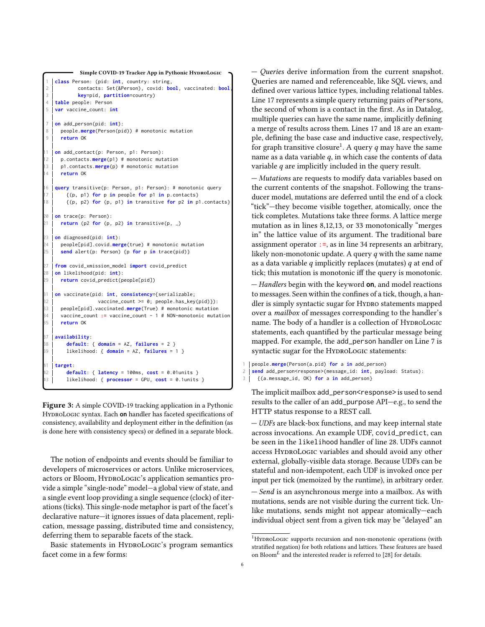```
Simple COVID-19 Tracker App in Pythonic HYDROLOGIC
    class Person: (pid: int, country: string,
             2 contacts: Set(&Person), covid: bool, vaccinated: bool,
             3 key=pid, partition=country)
    table people: Person
5 var vaccine_count: int
    7 on add_person(pid: int):
8 people.merge(Person(pid)) # monotonic mutation
9 return OK
    on add_contact(p: Person, p1: Person):
12 p.contacts.merge(p1) # monotonic mutation
13 p1.contacts.merge(p) # monotonic mutation
14 return OK
16 query transitive(p: Person, p1: Person): # monotonic query
17 ( \uparrow ( \uparrow ) \uparrow for \uparrow in people for \uparrow in \uparrow \uparrow \uparrow \uparrow \uparrow \uparrow \uparrow \uparrow \uparrow \uparrow \uparrow \uparrow \uparrow \uparrow \uparrow \uparrow \uparrow \uparrow \uparrow \uparrow \uparrow \uparrow \uparrow \uparrow 18 {(p, p2) for (p, p1) in transitive for p2 in p1.contacts}
20 on trace(p: Person):
     return (p2 for (p, p2) in transitive(p, _{-})
23 on diagnosed(pid: int):
     24 people[pid].covid.merge(true) # monotonic mutation
25 send alert(p: Person) {p for p in trace(pid)}
    from covid xmission model import covid predict
28 on likelihood(pid: int):
29 return covid_predict(people[pid])
    31 on vaccinate(pid: int, consistency={serializable;
32 vaccine_count >= 0; people.has_key(pid)}):
33 people[pid].vaccinated.merge(True) # monotonic mutation
34 vaccine_count := vaccine_count - 1 # NON-monotonic mutation
35 return OK
    37 availability:
38 default: { domain = AZ, failures = 2 }
39 likelihood: { domain = AZ, failures = 1 }
    41 target:
42 default: { latency = 100ms, cost = 0.01units }
        43 likelihood: { processor = GPU, cost = 0.1units }
```
<span id="page-5-23"></span><span id="page-5-22"></span><span id="page-5-21"></span><span id="page-5-19"></span><span id="page-5-18"></span><span id="page-5-15"></span><span id="page-5-14"></span><span id="page-5-13"></span><span id="page-5-12"></span><span id="page-5-5"></span><span id="page-5-4"></span>Figure 3: A simple COVID-19 tracking application in a Pythonic HydroLogic syntax. Each **on** handler has faceted specifications of consistency, availability and deployment either in the definition (as is done here with consistency specs) or defined in a separate block.

The notion of endpoints and events should be familiar to developers of microservices or actors. Unlike microservices, actors or Bloom, HYDROLOGIC's application semantics provide a simple "single-node" model—a global view of state, and a single event loop providing a single sequence (clock) of iterations (ticks). This single-node metaphor is part of the facet's declarative nature—it ignores issues of data placement, replication, message passing, distributed time and consistency, deferring them to separable facets of the stack.

Basic statements in HYDROLOGIC's program semantics facet come in a few forms:

— Queries derive information from the current snapshot. Queries are named and referenceable, like SQL views, and defined over various lattice types, including relational tables. Line [17](#page-5-6) represents a simple query returning pairs of Persons, the second of whom is a contact in the first. As in Datalog, multiple queries can have the same name, implicitly defining a merge of results across them. Lines [17](#page-5-6) and [18](#page-5-7) are an example, defining the base case and inductive case, respectively, for graph transitive closure<sup>[1](#page-5-8)</sup>. A query  $q$  may have the same name as a data variable  $q$ , in which case the contents of data variable  $q$  are implicitly included in the query result.

— Mutations are requests to modify data variables based on the current contents of the snapshot. Following the transducer model, mutations are deferred until the end of a clock "tick"—they become visible together, atomically, once the tick completes. Mutations take three forms. A lattice merge mutation as in lines [8,](#page-5-9)[12](#page-5-10)[,13,](#page-5-11) or [33](#page-5-12) monotonically "merges in" the lattice value of its argument. The traditional bare assignment operator :=, as in line [34](#page-5-13) represents an arbitrary, likely non-monotonic update. A query  $q$  with the same name as a data variable  $q$  implicitly replaces (mutates)  $q$  at end of tick; this mutation is monotonic iff the query is monotonic.

— Handlers begin with the keyword **on**, and model reactions to messages. Seen within the confines of a tick, though, a handler is simply syntactic sugar for HyDRO statements mapped over a mailbox of messages corresponding to the handler's name. The body of a handler is a collection of HYDROLOGIC statements, each quantified by the particular message being mapped. For example, the add\_person handler on Line [7](#page-5-3) is syntactic sugar for the HyproLogic statements:

1 people.**merge**(Person(a.pid) **for** a **in** add\_person)

```
2 send add_person<response>(message_id: int, payload: Status):
```

```
3 {(a.message_id, OK) for a in add_person}
```
The implicit mailbox add\_person<response> is used to send results to the caller of an add\_purpose API—e.g., to send the HTTP status response to a REST call.

— UDFs are black-box functions, and may keep internal state across invocations. An example UDF, covid\_predict, can be seen in the likelihood handler of line [28.](#page-5-14) UDFs cannot access HYDROLOGIC variables and should avoid any other external, globally-visible data storage. Because UDFs can be stateful and non-idempotent, each UDF is invoked once per input per tick (memoized by the runtime), in arbitrary order.

— Send is an asynchronous merge into a mailbox. As with mutations, sends are not visible during the current tick. Unlike mutations, sends might not appear atomically—each individual object sent from a given tick may be "delayed" an

<span id="page-5-8"></span> $1$ HYDROLOGIC supports recursion and non-monotonic operations (with stratified negation) for both relations and lattices. These features are based on Bloom<sup>L</sup> and the interested reader is referred to [\[28\]](#page-12-8) for details.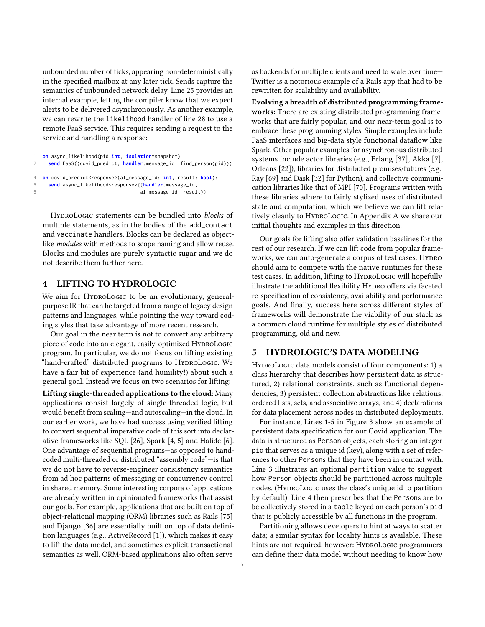unbounded number of ticks, appearing non-deterministically in the specified mailbox at any later tick. Sends capture the semantics of unbounded network delay. Line [25](#page-5-15) provides an internal example, letting the compiler know that we expect alerts to be delivered asynchronously. As another example, we can rewrite the likelihood handler of line [28](#page-5-14) to use a remote FaaS service. This requires sending a request to the service and handling a response:

```
1 on async_likelihood(pid:int, isolation=snapshot)
2 send FaaS((covid_predict, handler.message_id, find_person(pid)))
4 on covid_predict<response>(al_message_id: int, result: bool):
5 send async_likelihood<response>((handler.message_id,
6 al_message_id, result))
```
HyproLogic statements can be bundled into *blocks* of multiple statements, as in the bodies of the add\_contact and vaccinate handlers. Blocks can be declared as objectlike modules with methods to scope naming and allow reuse. Blocks and modules are purely syntactic sugar and we do not describe them further here.

# <span id="page-6-0"></span>4 LIFTING TO HYDROLOGIC

We aim for HYDROLOGIC to be an evolutionary, generalpurpose IR that can be targeted from a range of legacy design patterns and languages, while pointing the way toward coding styles that take advantage of more recent research.

Our goal in the near term is not to convert any arbitrary piece of code into an elegant, easily-optimized HYDROLOGIC program. In particular, we do not focus on lifting existing "hand-crafted" distributed programs to HYDROLOGIC. We have a fair bit of experience (and humility!) about such a general goal. Instead we focus on two scenarios for lifting:

Lifting single-threaded applications to the cloud: Many applications consist largely of single-threaded logic, but would benefit from scaling—and autoscaling—in the cloud. In our earlier work, we have had success using verified lifting to convert sequential imperative code of this sort into declarative frameworks like SQL [\[26\]](#page-12-15), Spark [\[4,](#page-12-16) [5\]](#page-12-17) and Halide [\[6\]](#page-12-18). One advantage of sequential programs—as opposed to handcoded multi-threaded or distributed "assembly code"—is that we do not have to reverse-engineer consistency semantics from ad hoc patterns of messaging or concurrency control in shared memory. Some interesting corpora of applications are already written in opinionated frameworks that assist our goals. For example, applications that are built on top of object-relational mapping (ORM) libraries such as Rails [\[75\]](#page-13-14) and Django [\[36\]](#page-12-13) are essentially built on top of data definition languages (e.g., ActiveRecord [\[1\]](#page-12-23)), which makes it easy to lift the data model, and sometimes explicit transactional semantics as well. ORM-based applications also often serve

as backends for multiple clients and need to scale over time— Twitter is a notorious example of a Rails app that had to be rewritten for scalability and availability.

Evolving a breadth of distributed programming frameworks: There are existing distributed programming frameworks that are fairly popular, and our near-term goal is to embrace these programming styles. Simple examples include FaaS interfaces and big-data style functional dataflow like Spark. Other popular examples for asynchronous distributed systems include actor libraries (e.g., Erlang [\[37\]](#page-12-24), Akka [\[7\]](#page-12-25), Orleans [\[22\]](#page-12-26)), libraries for distributed promises/futures (e.g., Ray [\[69\]](#page-13-18) and Dask [\[32\]](#page-12-27) for Python), and collective communication libraries like that of MPI [\[70\]](#page-13-19). Programs written with these libraries adhere to fairly stylized uses of distributed state and computation, which we believe we can lift rela-tively cleanly to HyproLogic. In [A](#page-14-0)ppendix A we share our initial thoughts and examples in this direction.

Our goals for lifting also offer validation baselines for the rest of our research. If we can lift code from popular frameworks, we can auto-generate a corpus of test cases. HYDRO should aim to compete with the native runtimes for these test cases. In addition, lifting to HYDROLOGIC will hopefully illustrate the additional flexibility Hypro offers via faceted re-specification of consistency, availability and performance goals. And finally, success here across different styles of frameworks will demonstrate the viability of our stack as a common cloud runtime for multiple styles of distributed programming, old and new.

# <span id="page-6-1"></span>5 HYDROLOGIC'S DATA MODELING

HYDROLOGIC data models consist of four components: 1) a class hierarchy that describes how persistent data is structured, 2) relational constraints, such as functional dependencies, 3) persistent collection abstractions like relations, ordered lists, sets, and associative arrays, and 4) declarations for data placement across nodes in distributed deployments.

For instance, Lines [1](#page-5-1)[-5](#page-5-2) in Figure [3](#page-5-0) show an example of persistent data specification for our Covid application. The data is structured as Person objects, each storing an integer pid that serves as a unique id (key), along with a set of references to other Persons that they have been in contact with. Line [3](#page-5-16) illustrates an optional partition value to suggest how Person objects should be partitioned across multiple nodes. (HYDROLOGIC uses the class's unique id to partition by default). Line [4](#page-5-17) then prescribes that the Persons are to be collectively stored in a table keyed on each person's pid that is publicly accessible by all functions in the program.

Partitioning allows developers to hint at ways to scatter data; a similar syntax for locality hints is available. These hints are not required, however: HYDROLOGIC programmers can define their data model without needing to know how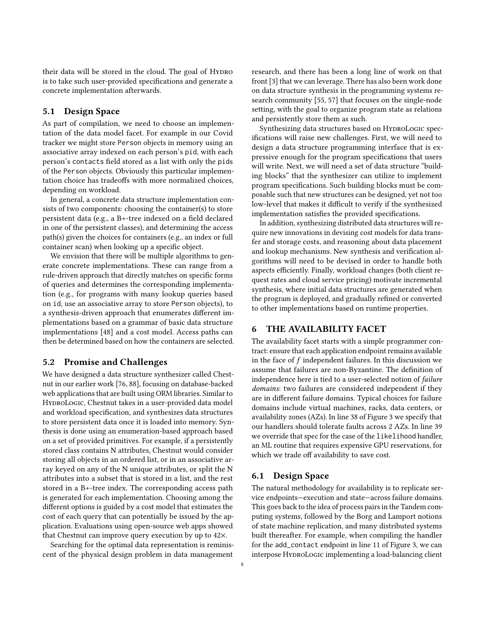their data will be stored in the cloud. The goal of Hypro is to take such user-provided specifications and generate a concrete implementation afterwards.

# 5.1 Design Space

As part of compilation, we need to choose an implementation of the data model facet. For example in our Covid tracker we might store Person objects in memory using an associative array indexed on each person's pid, with each person's contacts field stored as a list with only the pids of the Person objects. Obviously this particular implementation choice has tradeoffs with more normalized choices, depending on workload.

In general, a concrete data structure implementation consists of two components: choosing the container(s) to store persistent data (e.g., a B+-tree indexed on a field declared in one of the persistent classes), and determining the access path(s) given the choices for containers (e.g., an index or full container scan) when looking up a specific object.

We envision that there will be multiple algorithms to generate concrete implementations. These can range from a rule-driven approach that directly matches on specific forms of queries and determines the corresponding implementation (e.g., for programs with many lookup queries based on id, use an associative array to store Person objects), to a synthesis-driven approach that enumerates different implementations based on a grammar of basic data structure implementations [\[48\]](#page-13-20) and a cost model. Access paths can then be determined based on how the containers are selected.

# 5.2 Promise and Challenges

We have designed a data structure synthesizer called Chestnut in our earlier work [\[76,](#page-13-21) [88\]](#page-13-22), focusing on database-backed web applications that are built using ORM libraries. Similar to HyproLogic, Chestnut takes in a user-provided data model and workload specification, and synthesizes data structures to store persistent data once it is loaded into memory. Synthesis is done using an enumeration-based approach based on a set of provided primitives. For example, if a persistently stored class contains N attributes, Chestnut would consider storing all objects in an ordered list, or in an associative array keyed on any of the N unique attributes, or split the N attributes into a subset that is stored in a list, and the rest stored in a B+-tree index. The corresponding access path is generated for each implementation. Choosing among the different options is guided by a cost model that estimates the cost of each query that can potentially be issued by the application. Evaluations using open-source web apps showed that Chestnut can improve query execution by up to 42×.

Searching for the optimal data representation is reminiscent of the physical design problem in data management

research, and there has been a long line of work on that front [\[3\]](#page-12-28) that we can leverage. There has also been work done on data structure synthesis in the programming systems research community [\[55,](#page-13-23) [57\]](#page-13-24) that focuses on the single-node setting, with the goal to organize program state as relations and persistently store them as such.

Synthesizing data structures based on HYDROLOGIC specifications will raise new challenges. First, we will need to design a data structure programming interface that is expressive enough for the program specifications that users will write. Next, we will need a set of data structure "building blocks" that the synthesizer can utilize to implement program specifications. Such building blocks must be composable such that new structures can be designed, yet not too low-level that makes it difficult to verify if the synthesized implementation satisfies the provided specifications.

In addition, synthesizing distributed data structures will require new innovations in devising cost models for data transfer and storage costs, and reasoning about data placement and lookup mechanisms. New synthesis and verification algorithms will need to be devised in order to handle both aspects efficiently. Finally, workload changes (both client request rates and cloud service pricing) motivate incremental synthesis, where initial data structures are generated when the program is deployed, and gradually refined or converted to other implementations based on runtime properties.

# <span id="page-7-0"></span>6 THE AVAILABILITY FACET

The availability facet starts with a simple programmer contract: ensure that each application endpoint remains available in the face of  $f$  independent failures. In this discussion we assume that failures are non-Byzantine. The definition of independence here is tied to a user-selected notion of failure domains: two failures are considered independent if they are in different failure domains. Typical choices for failure domains include virtual machines, racks, data centers, or availability zones (AZs). In line [38](#page-5-18) of Figure [3](#page-5-0) we specify that our handlers should tolerate faults across 2 AZs. In line [39](#page-5-19) we override that spec for the case of the likelihood handler, an ML routine that requires expensive GPU reservations, for which we trade off availability to save cost.

#### 6.1 Design Space

The natural methodology for availability is to replicate service endpoints—execution and state—across failure domains. This goes back to the idea of process pairs in the Tandem computing systems, followed by the Borg and Lamport notions of state machine replication, and many distributed systems built thereafter. For example, when compiling the handler for the add\_contact endpoint in line [11](#page-5-20) of Figure [3,](#page-5-0) we can interpose HyproLogic implementing a load-balancing client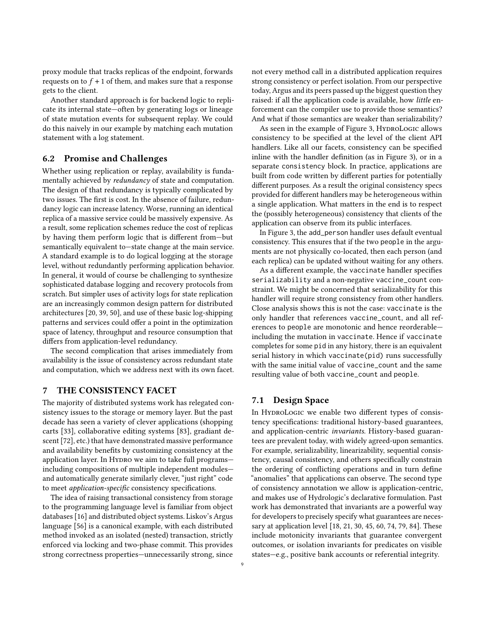proxy module that tracks replicas of the endpoint, forwards requests on to  $f + 1$  of them, and makes sure that a response gets to the client.

Another standard approach is for backend logic to replicate its internal state—often by generating logs or lineage of state mutation events for subsequent replay. We could do this naively in our example by matching each mutation statement with a log statement.

# 6.2 Promise and Challenges

Whether using replication or replay, availability is fundamentally achieved by redundancy of state and computation. The design of that redundancy is typically complicated by two issues. The first is cost. In the absence of failure, redundancy logic can increase latency. Worse, running an identical replica of a massive service could be massively expensive. As a result, some replication schemes reduce the cost of replicas by having them perform logic that is different from—but semantically equivalent to—state change at the main service. A standard example is to do logical logging at the storage level, without redundantly performing application behavior. In general, it would of course be challenging to synthesize sophisticated database logging and recovery protocols from scratch. But simpler uses of activity logs for state replication are an increasingly common design pattern for distributed architectures [\[20,](#page-12-29) [39,](#page-12-30) [50\]](#page-13-25), and use of these basic log-shipping patterns and services could offer a point in the optimization space of latency, throughput and resource consumption that differs from application-level redundancy.

The second complication that arises immediately from availability is the issue of consistency across redundant state and computation, which we address next with its own facet.

# <span id="page-8-0"></span>7 THE CONSISTENCY FACET

The majority of distributed systems work has relegated consistency issues to the storage or memory layer. But the past decade has seen a variety of clever applications (shopping carts [\[33\]](#page-12-31), collaborative editing systems [\[83\]](#page-13-6), gradiant descent [\[72\]](#page-13-26), etc.) that have demonstrated massive performance and availability benefits by customizing consistency at the application layer. In Hypro we aim to take full programsincluding compositions of multiple independent modules and automatically generate similarly clever, "just right" code to meet application-specific consistency specifications.

The idea of raising transactional consistency from storage to the programming language level is familiar from object databases [\[16\]](#page-12-32) and distributed object systems. Liskov's Argus language [\[56\]](#page-13-27) is a canonical example, with each distributed method invoked as an isolated (nested) transaction, strictly enforced via locking and two-phase commit. This provides strong correctness properties—unnecessarily strong, since not every method call in a distributed application requires strong consistency or perfect isolation. From our perspective today, Argus and its peers passed up the biggest question they raised: if all the application code is available, how *little* enforcement can the compiler use to provide those semantics? And what if those semantics are weaker than serializability?

As seen in the example of Figure [3,](#page-5-0) HYDROLOGIC allows consistency to be specified at the level of the client API handlers. Like all our facets, consistency can be specified inline with the handler definition (as in Figure [3\)](#page-5-0), or in a separate consistency block. In practice, applications are built from code written by different parties for potentially different purposes. As a result the original consistency specs provided for different handlers may be heterogeneous within a single application. What matters in the end is to respect the (possibly heterogeneous) consistency that clients of the application can observe from its public interfaces.

In Figure [3,](#page-5-0) the add\_person handler uses default eventual consistency. This ensures that if the two people in the arguments are not physically co-located, then each person (and each replica) can be updated without waiting for any others.

As a different example, the vaccinate handler specifies serializability and a non-negative vaccine\_count constraint. We might be concerned that serializability for this handler will require strong consistency from other handlers. Close analysis shows this is not the case: vaccinate is the only handler that references vaccine\_count, and all references to people are monotonic and hence reorderable including the mutation in vaccinate. Hence if vaccinate completes for some pid in any history, there is an equivalent serial history in which vaccinate(pid) runs successfully with the same initial value of vaccine\_count and the same resulting value of both vaccine\_count and people.

# 7.1 Design Space

In HYDROLOGIC we enable two different types of consistency specifications: traditional history-based guarantees, and application-centric invariants. History-based guarantees are prevalent today, with widely agreed-upon semantics. For example, serializability, linearizability, sequential consistency, causal consistency, and others specifically constrain the ordering of conflicting operations and in turn define "anomalies" that applications can observe. The second type of consistency annotation we allow is application-centric, and makes use of Hydrologic's declarative formulation. Past work has demonstrated that invariants are a powerful way for developers to precisely specify what guarantees are necessary at application level [\[18,](#page-12-33) [21,](#page-12-34) [30,](#page-12-35) [45,](#page-12-4) [60,](#page-13-28) [74,](#page-13-29) [79,](#page-13-30) [84\]](#page-13-31). These include motonicity invariants that guarantee convergent outcomes, or isolation invariants for predicates on visible states—e.g., positive bank accounts or referential integrity.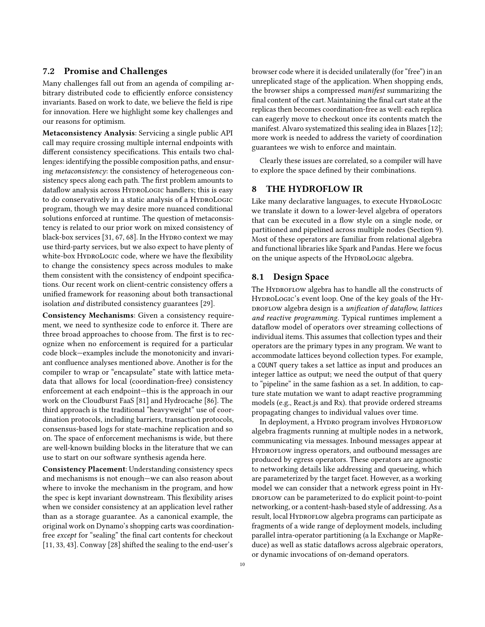## 7.2 Promise and Challenges

Many challenges fall out from an agenda of compiling arbitrary distributed code to efficiently enforce consistency invariants. Based on work to date, we believe the field is ripe for innovation. Here we highlight some key challenges and our reasons for optimism.

Metaconsistency Analysis: Servicing a single public API call may require crossing multiple internal endpoints with different consistency specifications. This entails two challenges: identifying the possible composition paths, and ensuring metaconsistency: the consistency of heterogeneous consistency specs along each path. The first problem amounts to dataflow analysis across HyproLogic handlers; this is easy to do conservatively in a static analysis of a HyproLogic program, though we may desire more nuanced conditional solutions enforced at runtime. The question of metaconsistency is related to our prior work on mixed consistency of black-box services  $[31, 67, 68]$  $[31, 67, 68]$  $[31, 67, 68]$  $[31, 67, 68]$  $[31, 67, 68]$ . In the Hydro context we may use third-party services, but we also expect to have plenty of white-box HYDROLOGIC code, where we have the flexibility to change the consistency specs across modules to make them consistent with the consistency of endpoint specifications. Our recent work on client-centric consistency offers a unified framework for reasoning about both transactional isolation and distributed consistency guarantees [\[29\]](#page-12-19).

Consistency Mechanisms: Given a consistency requirement, we need to synthesize code to enforce it. There are three broad approaches to choose from. The first is to recognize when no enforcement is required for a particular code block—examples include the monotonicity and invariant confluence analyses mentioned above. Another is for the compiler to wrap or "encapsulate" state with lattice metadata that allows for local (coordination-free) consistency enforcement at each endpoint—this is the approach in our work on the Cloudburst FaaS [\[81\]](#page-13-0) and Hydrocache [\[86\]](#page-13-32). The third approach is the traditional "heavyweight" use of coordination protocols, including barriers, transaction protocols, consensus-based logs for state-machine replication and so on. The space of enforcement mechanisms is wide, but there are well-known building blocks in the literature that we can use to start on our software synthesis agenda here.

Consistency Placement: Understanding consistency specs and mechanisms is not enough—we can also reason about where to invoke the mechanism in the program, and how the spec is kept invariant downstream. This flexibility arises when we consider consistency at an application level rather than as a storage guarantee. As a canonical example, the original work on Dynamo's shopping carts was coordinationfree except for "sealing" the final cart contents for checkout [\[11,](#page-12-2) [33,](#page-12-31) [43\]](#page-12-5). Conway [\[28\]](#page-12-8) shifted the sealing to the end-user's

browser code where it is decided unilaterally (for "free") in an unreplicated stage of the application. When shopping ends, the browser ships a compressed manifest summarizing the final content of the cart. Maintaining the final cart state at the replicas then becomes coordination-free as well: each replica can eagerly move to checkout once its contents match the manifest. Alvaro systematized this sealing idea in Blazes [\[12\]](#page-12-36); more work is needed to address the variety of coordination guarantees we wish to enforce and maintain.

Clearly these issues are correlated, so a compiler will have to explore the space defined by their combinations.

# <span id="page-9-0"></span>8 THE HYDROFLOW IR

Like many declarative languages, to execute HyproLogic we translate it down to a lower-level algebra of operators that can be executed in a flow style on a single node, or partitioned and pipelined across multiple nodes (Section [9\)](#page-10-0). Most of these operators are familiar from relational algebra and functional libraries like Spark and Pandas. Here we focus on the unique aspects of the HyproLogic algebra.

## 8.1 Design Space

The HYDROFLOW algebra has to handle all the constructs of HYDROLOGIC's event loop. One of the key goals of the HY-DROFLOW algebra design is a unification of dataflow, lattices and reactive programming. Typical runtimes implement a dataflow model of operators over streaming collections of individual items. This assumes that collection types and their operators are the primary types in any program. We want to accommodate lattices beyond collection types. For example, a COUNT query takes a set lattice as input and produces an integer lattice as output; we need the output of that query to "pipeline" in the same fashion as a set. In addition, to capture state mutation we want to adapt reactive programming models (e.g., React.js and Rx). that provide ordered streams propagating changes to individual values over time.

In deployment, a Hypro program involves HyproFLOW algebra fragments running at multiple nodes in a network, communicating via messages. Inbound messages appear at HYDROFLOW ingress operators, and outbound messages are produced by egress operators. These operators are agnostic to networking details like addressing and queueing, which are parameterized by the target facet. However, as a working model we can consider that a network egress point in Hy-DROFLOW can be parameterized to do explicit point-to-point networking, or a content-hash-based style of addressing. As a result, local HYDROFLOW algebra programs can participate as fragments of a wide range of deployment models, including parallel intra-operator partitioning (a la Exchange or MapReduce) as well as static dataflows across algebraic operators, or dynamic invocations of on-demand operators.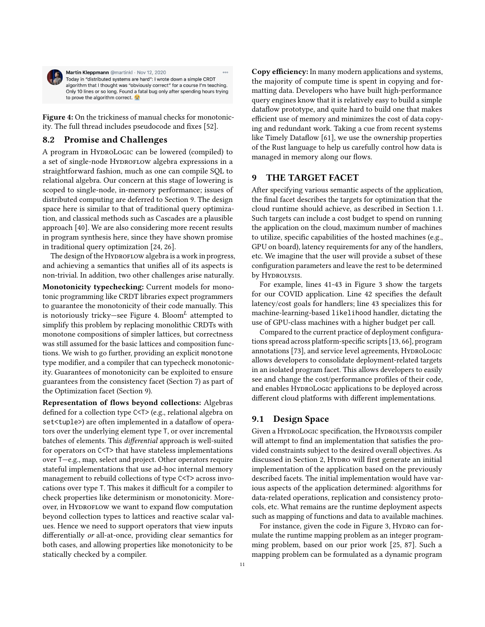<span id="page-10-1"></span>

Martin Kleppmann @martinkl · Nov 12, 2020  $\circ \circ \circ$ Today in "distributed systems are hard": I wrote down a simple CRDT algorithm that I thought was "obviously correct" for a course I'm teaching. Only 10 lines or so long. Found a fatal bug only after spending hours trying to prove the algorithm correct. for

Figure 4: On the trickiness of manual checks for monotonicity. The full thread includes pseudocode and fixes [\[52\]](#page-13-33).

# 8.2 Promise and Challenges

A program in HYDROLOGIC can be lowered (compiled) to a set of single-node HYDROFLOW algebra expressions in a straightforward fashion, much as one can compile SQL to relational algebra. Our concern at this stage of lowering is scoped to single-node, in-memory performance; issues of distributed computing are deferred to Section [9.](#page-10-0) The design space here is similar to that of traditional query optimization, and classical methods such as Cascades are a plausible approach [\[40\]](#page-12-37). We are also considering more recent results in program synthesis here, since they have shown promise in traditional query optimization [\[24,](#page-12-38) [26\]](#page-12-15).

The design of the HYDROFLOW algebra is a work in progress, and achieving a semantics that unifies all of its aspects is non-trivial. In addition, two other challenges arise naturally.

Monotonicity typechecking: Current models for monotonic programming like CRDT libraries expect programmers to guarantee the monotonicity of their code manually. This is notoriously tricky-see Figure [4.](#page-10-1) Bloom<sup>L</sup> attempted to simplify this problem by replacing monolithic CRDTs with monotone compositions of simpler lattices, but correctness was still assumed for the basic lattices and composition functions. We wish to go further, providing an explicit monotone type modifier, and a compiler that can typecheck monotonicity. Guarantees of monotonicity can be exploited to ensure guarantees from the consistency facet (Section [7\)](#page-8-0) as part of the Optimization facet (Section [9\)](#page-10-0).

Representation of flows beyond collections: Algebras defined for a collection type C<T> (e.g., relational algebra on set<tuple>) are often implemented in a dataflow of operators over the underlying element type T, or over incremental batches of elements. This differential approach is well-suited for operators on C<T> that have stateless implementations over T—e.g., map, select and project. Other operators require stateful implementations that use ad-hoc internal memory management to rebuild collections of type C<T> across invocations over type T. This makes it difficult for a compiler to check properties like determinism or monotonicity. Moreover, in HYDROFLOW we want to expand flow computation beyond collection types to lattices and reactive scalar values. Hence we need to support operators that view inputs differentially or all-at-once, providing clear semantics for both cases, and allowing properties like monotonicity to be statically checked by a compiler.

Copy efficiency: In many modern applications and systems, the majority of compute time is spent in copying and formatting data. Developers who have built high-performance query engines know that it is relatively easy to build a simple dataflow prototype, and quite hard to build one that makes efficient use of memory and minimizes the cost of data copying and redundant work. Taking a cue from recent systems like Timely Dataflow [\[61\]](#page-13-8), we use the ownership properties of the Rust language to help us carefully control how data is managed in memory along our flows.

# <span id="page-10-0"></span>9 THE TARGET FACET

After specifying various semantic aspects of the application, the final facet describes the targets for optimization that the cloud runtime should achieve, as described in Section [1.1.](#page-0-0) Such targets can include a cost budget to spend on running the application on the cloud, maximum number of machines to utilize, specific capabilities of the hosted machines (e.g., GPU on board), latency requirements for any of the handlers, etc. We imagine that the user will provide a subset of these configuration parameters and leave the rest to be determined by HYDROLYSIS.

For example, lines [41](#page-5-21)[-43](#page-5-22) in Figure [3](#page-5-0) show the targets for our COVID application. Line [42](#page-5-23) specifies the default latency/cost goals for handlers; line [43](#page-5-22) specializes this for machine-learning-based likelihood handler, dictating the use of GPU-class machines with a higher budget per call.

Compared to the current practice of deployment configurations spread across platform-specific scripts [\[13,](#page-12-39) [66\]](#page-13-34), program annotations [\[73\]](#page-13-35), and service level agreements, HYDROLOGIC allows developers to consolidate deployment-related targets in an isolated program facet. This allows developers to easily see and change the cost/performance profiles of their code, and enables HYDROLOGIC applications to be deployed across different cloud platforms with different implementations.

#### 9.1 Design Space

Given a HYDROLOGIC specification, the HYDROLYSIS compiler will attempt to find an implementation that satisfies the provided constraints subject to the desired overall objectives. As discussed in Section [2,](#page-3-0) HYDRO will first generate an initial implementation of the application based on the previously described facets. The initial implementation would have various aspects of the application determined: algorithms for data-related operations, replication and consistency protocols, etc. What remains are the runtime deployment aspects such as mapping of functions and data to available machines.

For instance, given the code in Figure [3,](#page-5-0) HYDRO can formulate the runtime mapping problem as an integer programming problem, based on our prior work [\[25,](#page-12-40) [87\]](#page-13-36). Such a mapping problem can be formulated as a dynamic program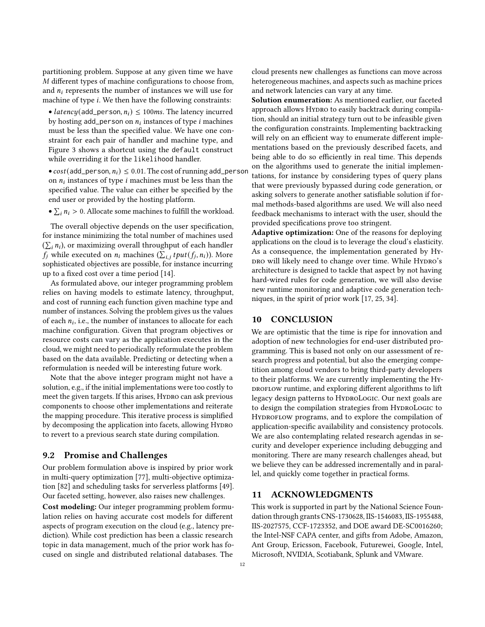partitioning problem. Suppose at any given time we have M different types of machine configurations to choose from, and  $n_i$  represents the number of instances we will use for machine of type *i*. We then have the following constraints:

• latency(add\_person,  $n_i$ )  $\leq$  100ms. The latency incurred by hosting add\_person on  $n_i$  instances of type  $i$  machines must be less than the specified value. We have one constraint for each pair of handler and machine type, and Figure [3](#page-5-0) shows a shortcut using the default construct while overriding it for the likelihood handler.

•  $cost(add\_person, n_i) \leq 0.01$ . The cost of running add\_person on  $n_i$  instances of type  $i$  machines must be less than the specified value. The value can either be specified by the end user or provided by the hosting platform.

•  $\sum_i n_i > 0$ . Allocate some machines to fulfill the workload.

The overall objective depends on the user specification, for instance minimizing the total number of machines used  $(\sum_i n_i)$ , or maximizing overall throughput of each handler  $f_i$  while executed on  $n_i$  machines  $(\sum_{i,j} tput(f_i, n_i))$ . More sophisticated objectives are possible, for instance incurring up to a fixed cost over a time period [\[14\]](#page-12-41).

As formulated above, our integer programming problem relies on having models to estimate latency, throughput, and cost of running each function given machine type and number of instances. Solving the problem gives us the values of each  $n_i$ , i.e., the number of instances to allocate for each machine configuration. Given that program objectives or resource costs can vary as the application executes in the cloud, we might need to periodically reformulate the problem based on the data available. Predicting or detecting when a reformulation is needed will be interesting future work.

Note that the above integer program might not have a solution, e.g., if the initial implementations were too costly to meet the given targets. If this arises, HYDRO can ask previous components to choose other implementations and reiterate the mapping procedure. This iterative process is simplified by decomposing the application into facets, allowing HYDRO to revert to a previous search state during compilation.

#### 9.2 Promise and Challenges

Our problem formulation above is inspired by prior work in multi-query optimization [\[77\]](#page-13-37), multi-objective optimization [\[82\]](#page-13-38) and scheduling tasks for serverless platforms [\[49\]](#page-13-39). Our faceted setting, however, also raises new challenges.

Cost modeling: Our integer programming problem formulation relies on having accurate cost models for different aspects of program execution on the cloud (e.g., latency prediction). While cost prediction has been a classic research topic in data management, much of the prior work has focused on single and distributed relational databases. The

cloud presents new challenges as functions can move across heterogeneous machines, and aspects such as machine prices and network latencies can vary at any time.

Solution enumeration: As mentioned earlier, our faceted approach allows Hypro to easily backtrack during compilation, should an initial strategy turn out to be infeasible given the configuration constraints. Implementing backtracking will rely on an efficient way to enumerate different implementations based on the previously described facets, and being able to do so efficiently in real time. This depends on the algorithms used to generate the initial implementations, for instance by considering types of query plans that were previously bypassed during code generation, or asking solvers to generate another satisfiable solution if formal methods-based algorithms are used. We will also need feedback mechanisms to interact with the user, should the provided specifications prove too stringent.

Adaptive optimization: One of the reasons for deploying applications on the cloud is to leverage the cloud's elasticity. As a consequence, the implementation generated by Hy-DRO will likely need to change over time. While HYDRO's architecture is designed to tackle that aspect by not having hard-wired rules for code generation, we will also devise new runtime monitoring and adaptive code generation techniques, in the spirit of prior work [\[17,](#page-12-42) [25,](#page-12-40) [34\]](#page-12-43).

## 10 CONCLUSION

We are optimistic that the time is ripe for innovation and adoption of new technologies for end-user distributed programming. This is based not only on our assessment of research progress and potential, but also the emerging competition among cloud vendors to bring third-party developers to their platforms. We are currently implementing the Hy-DROFLOW runtime, and exploring different algorithms to lift legacy design patterns to HyproLogic. Our next goals are to design the compilation strategies from HyproLogic to HYDROFLOW programs, and to explore the compilation of application-specific availability and consistency protocols. We are also contemplating related research agendas in security and developer experience including debugging and monitoring. There are many research challenges ahead, but we believe they can be addressed incrementally and in parallel, and quickly come together in practical forms.

## 11 ACKNOWLEDGMENTS

This work is supported in part by the National Science Foundation through grants CNS-1730628, IIS-1546083, IIS-1955488, IIS-2027575, CCF-1723352, and DOE award DE-SC0016260; the Intel-NSF CAPA center, and gifts from Adobe, Amazon, Ant Group, Ericsson, Facebook, Futurewei, Google, Intel, Microsoft, NVIDIA, Scotiabank, Splunk and VMware.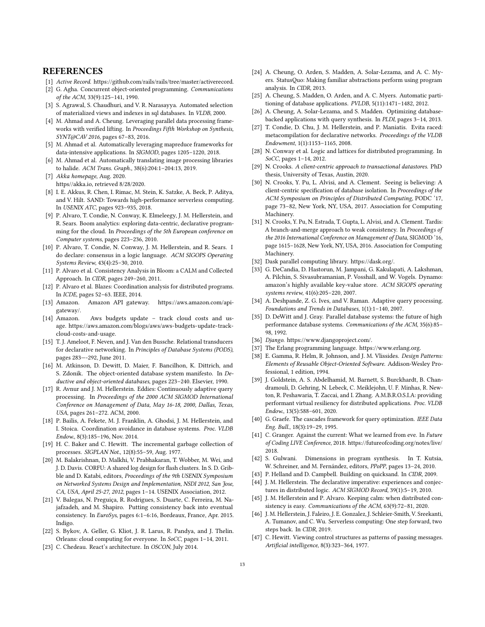#### **REFERENCES**

- <span id="page-12-23"></span>[1] Active Record. [https://github.com/rails/rails/tree/master/activerecord.](https://github.com/rails/rails/tree/master/activerecord)
- <span id="page-12-45"></span>[2] G. Agha. Concurrent object-oriented programming. Communications of the ACM, 33(9):125–141, 1990.
- <span id="page-12-28"></span>[3] S. Agrawal, S. Chaudhuri, and V. R. Narasayya. Automated selection of materialized views and indexes in sql databases. In VLDB, 2000.
- <span id="page-12-16"></span>[4] M. Ahmad and A. Cheung. Leveraging parallel data processing frameworks with verified lifting. In Proceedings Fifth Workshop on Synthesis, SYNT@CAV 2016, pages 67–83, 2016.
- <span id="page-12-17"></span>[5] M. Ahmad et al. Automatically leveraging mapreduce frameworks for data-intensive applications. In SIGMOD, pages 1205–1220, 2018.
- <span id="page-12-18"></span>[6] M. Ahmad et al. Automatically translating image processing libraries to halide. ACM Trans. Graph., 38(6):204:1–204:13, 2019.
- <span id="page-12-25"></span>[7] Akka homepage, Aug. 2020. [https//akka.io,](https//akka.io) retrieved 8/28/2020.
- <span id="page-12-1"></span>[8] I. E. Akkus, R. Chen, I. Rimac, M. Stein, K. Satzke, A. Beck, P. Aditya, and V. Hilt. SAND: Towards high-performance serverless computing. In USENIX ATC, pages 923–935, 2018.
- <span id="page-12-11"></span>[9] P. Alvaro, T. Condie, N. Conway, K. Elmeleegy, J. M. Hellerstein, and R. Sears. Boom analytics: exploring data-centric, declarative programming for the cloud. In Proceedings of the 5th European conference on Computer systems, pages 223–236, 2010.
- <span id="page-12-21"></span>[10] P. Alvaro, T. Condie, N. Conway, J. M. Hellerstein, and R. Sears. I do declare: consensus in a logic language. ACM SIGOPS Operating Systems Review, 43(4):25–30, 2010.
- <span id="page-12-2"></span>[11] P. Alvaro et al. Consistency Analysis in Bloom: a CALM and Collected Approach. In CIDR, pages 249–260, 2011.
- <span id="page-12-36"></span>[12] P. Alvaro et al. Blazes: Coordination analysis for distributed programs. In ICDE, pages 52–63. IEEE, 2014.
- <span id="page-12-39"></span>[13] Amazon. Amazon API gateway. https://aws.amazon.com/apigateway/.
- <span id="page-12-41"></span>[14] Amazon. Aws budgets update – track cloud costs and usage. [https://aws.amazon.com/blogs/aws/aws-budgets-update-track](https://aws.amazon.com/blogs/aws/aws-budgets-update-track-cloud-costs-and-usage)[cloud-costs-and-usage.](https://aws.amazon.com/blogs/aws/aws-budgets-update-track-cloud-costs-and-usage)
- <span id="page-12-6"></span>[15] T. J. Ameloot, F. Neven, and J. Van den Bussche. Relational transducers for declarative networking. In Principles of Database Systems (PODS), pages 283—-292, June 2011.
- <span id="page-12-32"></span>[16] M. Atkinson, D. Dewitt, D. Maier, F. Bancilhon, K. Dittrich, and S. Zdonik. The object-oriented database system manifesto. In Deductive and object-oriented databases, pages 223–240. Elsevier, 1990.
- <span id="page-12-42"></span>[17] R. Avnur and J. M. Hellerstein. Eddies: Continuously adaptive query processing. In Proceedings of the 2000 ACM SIGMOD International Conference on Management of Data, May 16-18, 2000, Dallas, Texas, USA, pages 261–272. ACM, 2000.
- <span id="page-12-33"></span>[18] P. Bailis, A. Fekete, M. J. Franklin, A. Ghodsi, J. M. Hellerstein, and I. Stoica. Coordination avoidance in database systems. Proc. VLDB Endow., 8(3):185–196, Nov. 2014.
- <span id="page-12-46"></span>[19] H. C. Baker and C. Hewitt. The incremental garbage collection of processes. SIGPLAN Not., 12(8):55–59, Aug. 1977.
- <span id="page-12-29"></span>[20] M. Balakrishnan, D. Malkhi, V. Prabhakaran, T. Wobber, M. Wei, and J. D. Davis. CORFU: A shared log design for flash clusters. In S. D. Gribble and D. Katabi, editors, Proceedings of the 9th USENIX Symposium on Networked Systems Design and Implementation, NSDI 2012, San Jose, CA, USA, April 25-27, 2012, pages 1–14. USENIX Association, 2012.
- <span id="page-12-34"></span>[21] V. Balegas, N. Preguiça, R. Rodrigues, S. Duarte, C. Ferreira, M. Najafzadeh, and M. Shapiro. Putting consistency back into eventual consistency. In EuroSys, pages 6:1–6:16, Bordeaux, France, Apr. 2015. Indigo.
- <span id="page-12-26"></span>[22] S. Bykov, A. Geller, G. Kliot, J. R. Larus, R. Pandya, and J. Thelin. Orleans: cloud computing for everyone. In SoCC, pages 1-14, 2011.
- <span id="page-12-10"></span>[23] C. Chedeau. React's architecture. In OSCON, July 2014.
- <span id="page-12-38"></span>[24] A. Cheung, O. Arden, S. Madden, A. Solar-Lezama, and A. C. Myers. StatusQuo: Making familiar abstractions perform using program analysis. In CIDR, 2013.
- <span id="page-12-40"></span>[25] A. Cheung, S. Madden, O. Arden, and A. C. Myers. Automatic partitioning of database applications. PVLDB, 5(11):1471–1482, 2012.
- <span id="page-12-15"></span>[26] A. Cheung, A. Solar-Lezama, and S. Madden. Optimizing databasebacked applications with query synthesis. In PLDI, pages 3–14, 2013.
- <span id="page-12-22"></span>[27] T. Condie, D. Chu, J. M. Hellerstein, and P. Maniatis. Evita raced: metacompilation for declarative networks. Proceedings of the VLDB Endowment, 1(1):1153–1165, 2008.
- <span id="page-12-8"></span>[28] N. Conway et al. Logic and lattices for distributed programming. In SoCC, pages 1–14, 2012.
- <span id="page-12-19"></span>[29] N. Crooks. A client-centric approach to transactional datastores. PhD thesis, University of Texas, Austin, 2020.
- <span id="page-12-35"></span>[30] N. Crooks, Y. Pu, L. Alvisi, and A. Clement. Seeing is believing: A client-centric specification of database isolation. In Proceedings of the ACM Symposium on Principles of Distributed Computing, PODC '17, page 73–82, New York, NY, USA, 2017. Association for Computing Machinery.
- <span id="page-12-20"></span>[31] N. Crooks, Y. Pu, N. Estrada, T. Gupta, L. Alvisi, and A. Clement. Tardis: A branch-and-merge approach to weak consistency. In Proceedings of the 2016 International Conference on Management of Data, SIGMOD '16, page 1615–1628, New York, NY, USA, 2016. Association for Computing Machinery.
- <span id="page-12-27"></span>[32] Dask parallel computing library. [https://dask.org/.](https://dask.org/)
- <span id="page-12-31"></span>[33] G. DeCandia, D. Hastorun, M. Jampani, G. Kakulapati, A. Lakshman, A. Pilchin, S. Sivasubramanian, P. Vosshall, and W. Vogels. Dynamo: amazon's highly available key-value store. ACM SIGOPS operating systems review, 41(6):205–220, 2007.
- <span id="page-12-43"></span>[34] A. Deshpande, Z. G. Ives, and V. Raman. Adaptive query processing. Foundations and Trends in Databases, 1(1):1–140, 2007.
- <span id="page-12-9"></span>[35] D. DeWitt and J. Gray. Parallel database systems: the future of high performance database systems. Communications of the ACM, 35(6):85– 98, 1992.
- <span id="page-12-13"></span>[36] Django. [https://www.djangoproject.com/.](https://www.djangoproject.com/)
- <span id="page-12-24"></span>[37] The Erlang programming language. [https://www.erlang.org.](https://www.erlang.org)
- <span id="page-12-12"></span>[38] E. Gamma, R. Helm, R. Johnson, and J. M. Vlissides. Design Patterns: Elements of Reusable Object-Oriented Software. Addison-Wesley Professional, 1 edition, 1994.
- <span id="page-12-30"></span>[39] J. Goldstein, A. S. Abdelhamid, M. Barnett, S. Burckhardt, B. Chandramouli, D. Gehring, N. Lebeck, C. Meiklejohn, U. F. Minhas, R. Newton, R. Peshawaria, T. Zaccai, and I. Zhang. A.M.B.R.O.S.I.A: providing performant virtual resiliency for distributed applications. Proc. VLDB Endow., 13(5):588–601, 2020.
- <span id="page-12-37"></span>[40] G. Graefe. The cascades framework for query optimization. IEEE Data Eng. Bull., 18(3):19–29, 1995.
- <span id="page-12-3"></span>[41] C. Granger. Against the current: What we learned from eve. In Future of Coding LIVE Conference, 2018. [https://futureofcoding.org/notes/live/](https://futureofcoding.org/notes/live/2018) [2018.](https://futureofcoding.org/notes/live/2018)
- <span id="page-12-14"></span>[42] S. Gulwani. Dimensions in program synthesis. In T. Kutsia, W. Schreiner, and M. Fernández, editors, PPoPP, pages 13–24, 2010.
- <span id="page-12-5"></span>[43] P. Helland and D. Campbell. Building on quicksand. In CIDR, 2009.
- <span id="page-12-7"></span>[44] J. M. Hellerstein. The declarative imperative: experiences and conjectures in distributed logic. ACM SIGMOD Record, 39(1):5–19, 2010.
- <span id="page-12-4"></span>[45] J. M. Hellerstein and P. Alvaro. Keeping calm: when distributed consistency is easy. Communications of the ACM, 63(9):72–81, 2020.
- <span id="page-12-0"></span>[46] J. M. Hellerstein, J. Faleiro, J. E. Gonzalez, J. Schleier-Smith, V. Sreekanti, A. Tumanov, and C. Wu. Serverless computing: One step forward, two steps back. In CIDR, 2019.
- <span id="page-12-44"></span>[47] C. Hewitt. Viewing control structures as patterns of passing messages. Artificial intelligence, 8(3):323–364, 1977.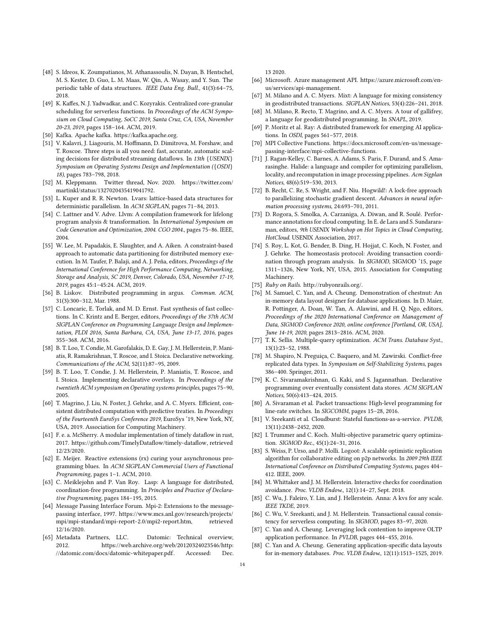- <span id="page-13-20"></span>[48] S. Idreos, K. Zoumpatianos, M. Athanassoulis, N. Dayan, B. Hentschel, M. S. Kester, D. Guo, L. M. Maas, W. Qin, A. Wasay, and Y. Sun. The periodic table of data structures. IEEE Data Eng. Bull., 41(3):64–75, 2018.
- <span id="page-13-39"></span>[49] K. Kaffes, N. J. Yadwadkar, and C. Kozyrakis. Centralized core-granular scheduling for serverless functions. In Proceedings of the ACM Symposium on Cloud Computing, SoCC 2019, Santa Cruz, CA, USA, November 20-23, 2019, pages 158–164. ACM, 2019.
- <span id="page-13-25"></span>[50] Kafka. Apache kafka. [https://kafka.apache.org.](https://kafka.apache.org)
- <span id="page-13-9"></span>[51] V. Kalavri, J. Liagouris, M. Hoffmann, D. Dimitrova, M. Forshaw, and T. Roscoe. Three steps is all you need: fast, accurate, automatic scaling decisions for distributed streaming dataflows. In 13th {USENIX} Symposium on Operating Systems Design and Implementation ({OSDI} 18), pages 783–798, 2018.
- <span id="page-13-33"></span>[52] M. Kleppmann. Twitter thread, Nov. 2020. [https://twitter.com/](https://twitter.com/martinkl/status/1327020435419041792) [martinkl/status/1327020435419041792.](https://twitter.com/martinkl/status/1327020435419041792)
- <span id="page-13-3"></span>[53] L. Kuper and R. R. Newton. Lvars: lattice-based data structures for deterministic parallelism. In ACM SIGPLAN, pages 71–84, 2013.
- <span id="page-13-13"></span>[54] C. Lattner and V. Adve. Llvm: A compilation framework for lifelong program analysis & transformation. In International Symposium on Code Generation and Optimization, 2004. CGO 2004., pages 75–86. IEEE, 2004.
- <span id="page-13-23"></span>[55] W. Lee, M. Papadakis, E. Slaughter, and A. Aiken. A constraint-based approach to automatic data partitioning for distributed memory execution. In M. Taufer, P. Balaji, and A. J. Peña, editors, Proceedings of the International Conference for High Performance Computing, Networking, Storage and Analysis, SC 2019, Denver, Colorado, USA, November 17-19, 2019, pages 45:1–45:24. ACM, 2019.
- <span id="page-13-27"></span>[56] B. Liskov. Distributed programming in argus. Commun. ACM, 31(3):300–312, Mar. 1988.
- <span id="page-13-24"></span>[57] C. Loncaric, E. Torlak, and M. D. Ernst. Fast synthesis of fast collections. In C. Krintz and E. Berger, editors, Proceedings of the 37th ACM SIGPLAN Conference on Programming Language Design and Implementation, PLDI 2016, Santa Barbara, CA, USA, June 13-17, 2016, pages 355–368. ACM, 2016.
- <span id="page-13-11"></span>[58] B. T. Loo, T. Condie, M. Garofalakis, D. E. Gay, J. M. Hellerstein, P. Maniatis, R. Ramakrishnan, T. Roscoe, and I. Stoica. Declarative networking. Communications of the ACM, 52(11):87–95, 2009.
- <span id="page-13-12"></span>[59] B. T. Loo, T. Condie, J. M. Hellerstein, P. Maniatis, T. Roscoe, and I. Stoica. Implementing declarative overlays. In Proceedings of the twentieth ACM symposium on Operating systems principles, pages 75–90, 2005.
- <span id="page-13-28"></span>[60] T. Magrino, J. Liu, N. Foster, J. Gehrke, and A. C. Myers. Efficient, consistent distributed computation with predictive treaties. In Proceedings of the Fourteenth EuroSys Conference 2019, EuroSys '19, New York, NY, USA, 2019. Association for Computing Machinery.
- <span id="page-13-8"></span>[61] F. e. a. McSherry. A modular implementation of timely dataflow in rust, 2017. [https://github.com/TimelyDataflow/timely-dataflow,](https://github.com/TimelyDataflow/timely-dataflow) retrieved 12/23/2020.
- <span id="page-13-10"></span>[62] E. Meijer. Reactive extensions (rx) curing your asynchronous programming blues. In ACM SIGPLAN Commercial Users of Functional Programming, pages 1–1. ACM, 2010.
- <span id="page-13-4"></span>[63] C. Meiklejohn and P. Van Roy. Lasp: A language for distributed, coordination-free programming. In Principles and Practice of Declarative Programming, pages 184–195, 2015.
- <span id="page-13-40"></span>[64] Message Passing Interface Forum. Mpi-2: Extensions to the messagepassing interface, 1997. [https://www.mcs.anl.gov/research/projects/](https://www.mcs.anl.gov/research/projects/mpi/mpi-standard/mpi-report-2.0/mpi2-report.htm) [mpi/mpi-standard/mpi-report-2.0/mpi2-report.htm,](https://www.mcs.anl.gov/research/projects/mpi/mpi-standard/mpi-report-2.0/mpi2-report.htm) retrieved 12/16/2020.
- <span id="page-13-1"></span>[65] Metadata Partners, LLC. Datomic: Technical overview, 2012. [https://web.archive.org/web/20120324023546/http:](https://web.archive.org/web/20120324023546/http://datomic.com/docs/datomic-whitepaper.pdf) [//datomic.com/docs/datomic-whitepaper.pdf.](https://web.archive.org/web/20120324023546/http://datomic.com/docs/datomic-whitepaper.pdf) Accessed: Dec.

13 2020.

- <span id="page-13-34"></span>[66] Microsoft. Azure management API. [https://azure.microsoft.com/en](https://azure.microsoft.com/en-us/services/api-management)[us/services/api-management.](https://azure.microsoft.com/en-us/services/api-management)
- <span id="page-13-17"></span>[67] M. Milano and A. C. Myers. Mixt: A language for mixing consistency in geodistributed transactions. SIGPLAN Notices, 53(4):226–241, 2018.
- <span id="page-13-5"></span>[68] M. Milano, R. Recto, T. Magrino, and A. C. Myers. A tour of gallifrey, a language for geodistributed programming. In SNAPL, 2019.
- <span id="page-13-18"></span>[69] P. Moritz et al. Ray: A distributed framework for emerging AI applications. In OSDI, pages 561–577, 2018.
- <span id="page-13-19"></span>[70] MPI Collective Functions. [https://docs.microsoft.com/en-us/message](https://docs.microsoft.com/en-us/message-passing-interface/mpi-collective-functions)[passing-interface/mpi-collective-functions.](https://docs.microsoft.com/en-us/message-passing-interface/mpi-collective-functions)
- <span id="page-13-15"></span>[71] J. Ragan-Kelley, C. Barnes, A. Adams, S. Paris, F. Durand, and S. Amarasinghe. Halide: a language and compiler for optimizing parallelism, locality, and recomputation in image processing pipelines. Acm Sigplan Notices, 48(6):519–530, 2013.
- <span id="page-13-26"></span>[72] B. Recht, C. Re, S. Wright, and F. Niu. Hogwild!: A lock-free approach to parallelizing stochastic gradient descent. Advances in neural information processing systems, 24:693–701, 2011.
- <span id="page-13-35"></span>[73] D. Rogora, S. Smolka, A. Carzaniga, A. Diwan, and R. Soulé. Performance annotations for cloud computing. In E. de Lara and S. Sundararaman, editors, 9th USENIX Workshop on Hot Topics in Cloud Computing, HotCloud. USENIX Association, 2017.
- <span id="page-13-29"></span>[74] S. Roy, L. Kot, G. Bender, B. Ding, H. Hojjat, C. Koch, N. Foster, and J. Gehrke. The homeostasis protocol: Avoiding transaction coordination through program analysis. In SIGMOD, SIGMOD '15, page 1311–1326, New York, NY, USA, 2015. Association for Computing Machinery.
- <span id="page-13-14"></span>[75] Ruby on Rails. [http://rubyonrails.org/.](http://rubyonrails.org/)
- <span id="page-13-21"></span>[76] M. Samuel, C. Yan, and A. Cheung. Demonstration of chestnut: An in-memory data layout designer for database applications. In D. Maier, R. Pottinger, A. Doan, W. Tan, A. Alawini, and H. Q. Ngo, editors, Proceedings of the 2020 International Conference on Management of Data, SIGMOD Conference 2020, online conference [Portland, OR, USA], June 14-19, 2020, pages 2813–2816. ACM, 2020.
- <span id="page-13-37"></span>[77] T. K. Sellis. Multiple-query optimization. ACM Trans. Database Syst., 13(1):23–52, 1988.
- <span id="page-13-2"></span>[78] M. Shapiro, N. Preguiça, C. Baquero, and M. Zawirski. Conflict-free replicated data types. In Symposium on Self-Stabilizing Systems, pages 386–400. Springer, 2011.
- <span id="page-13-30"></span>[79] K. C. Sivaramakrishnan, G. Kaki, and S. Jagannathan. Declarative programming over eventually consistent data stores. ACM SIGPLAN Notices, 50(6):413–424, 2015.
- <span id="page-13-16"></span>[80] A. Sivaraman et al. Packet transactions: High-level programming for line-rate switches. In SIGCOMM, pages 15–28, 2016.
- <span id="page-13-0"></span>[81] V. Sreekanti et al. Cloudburst: Stateful functions-as-a-service. PVLDB, 13(11):2438–2452, 2020.
- <span id="page-13-38"></span>[82] I. Trummer and C. Koch. Multi-objective parametric query optimization. SIGMOD Rec., 45(1):24–31, 2016.
- <span id="page-13-6"></span>[83] S. Weiss, P. Urso, and P. Molli. Logoot: A scalable optimistic replication algorithm for collaborative editing on p2p networks. In 2009 29th IEEE International Conference on Distributed Computing Systems, pages 404– 412. IEEE, 2009.
- <span id="page-13-31"></span>[84] M. Whittaker and J. M. Hellerstein. Interactive checks for coordination avoidance. Proc. VLDB Endow., 12(1):14–27, Sept. 2018.
- <span id="page-13-7"></span>[85] C. Wu, J. Faleiro, Y. Lin, and J. Hellerstein. Anna: A kvs for any scale. IEEE TKDE, 2019.
- <span id="page-13-32"></span>[86] C. Wu, V. Sreekanti, and J. M. Hellerstein. Transactional causal consistency for serverless computing. In SIGMOD, pages 83–97, 2020.
- <span id="page-13-36"></span>[87] C. Yan and A. Cheung. Leveraging lock contention to improve OLTP application performance. In PVLDB, pages 444–455, 2016.
- <span id="page-13-22"></span>C. Yan and A. Cheung. Generating application-specific data layouts for in-memory databases. Proc. VLDB Endow., 12(11):1513–1525, 2019.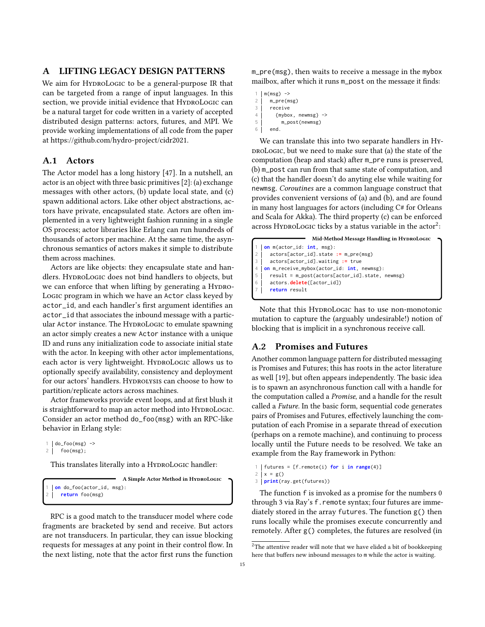# <span id="page-14-0"></span>A LIFTING LEGACY DESIGN PATTERNS

We aim for HYDROLOGIC to be a general-purpose IR that can be targeted from a range of input languages. In this section, we provide initial evidence that HYDROLOGIC can be a natural target for code written in a variety of accepted distributed design patterns: actors, futures, and MPI. We provide working implementations of all code from the paper at [https://github.com/hydro-project/cidr2021.](https://github.com/hydro-project/cidr2021)

# A.1 Actors

The Actor model has a long history [\[47\]](#page-12-44). In a nutshell, an actor is an object with three basic primitives [\[2\]](#page-12-45): (a) exchange messages with other actors, (b) update local state, and (c) spawn additional actors. Like other object abstractions, actors have private, encapsulated state. Actors are often implemented in a very lightweight fashion running in a single OS process; actor libraries like Erlang can run hundreds of thousands of actors per machine. At the same time, the asynchronous semantics of actors makes it simple to distribute them across machines.

Actors are like objects: they encapsulate state and handlers. HYDROLOGIC does not bind handlers to objects, but we can enforce that when lifting by generating a HYDRO-Logic program in which we have an Actor class keyed by actor\_id, and each handler's first argument identifies an actor\_id that associates the inbound message with a particular Actor instance. The HyproLogic to emulate spawning an actor simply creates a new Actor instance with a unique ID and runs any initialization code to associate initial state with the actor. In keeping with other actor implementations, each actor is very lightweight. HYDROLOGIC allows us to optionally specify availability, consistency and deployment for our actors' handlers. HYDROLYSIS can choose to how to partition/replicate actors across machines.

Actor frameworks provide event loops, and at first blush it is straightforward to map an actor method into HYDROLOGIC. Consider an actor method do\_foo(msg) with an RPC-like behavior in Erlang style:

```
1 | do_foo(msg) ->
```

```
2 foo(msg);
```
This translates literally into a HYDROLOGIC handler:

A Simple Actor Method in HYDROLOGIC on do foo(actor id, msg): return foo(msg)

RPC is a good match to the transducer model where code fragments are bracketed by send and receive. But actors are not transducers. In particular, they can issue blocking requests for messages at any point in their control flow. In the next listing, note that the actor first runs the function m\_pre(msg), then waits to receive a message in the mybox mailbox, after which it runs m\_post on the message it finds:

```
m(msg) ->
```

```
2 \mid m \text{ pre}(\text{msg})
```

```
3 receive
```

```
4 \mid {mybox, newmsg} ->
5 m_post(newmsg)
```

```
6 end.
```
We can translate this into two separate handlers in HyproLogic, but we need to make sure that (a) the state of the computation (heap and stack) after m\_pre runs is preserved, (b) m\_post can run from that same state of computation, and (c) that the handler doesn't do anyting else while waiting for newmsg. Coroutines are a common language construct that provides convenient versions of (a) and (b), and are found in many host languages for actors (including C# for Orleans and Scala for Akka). The third property (c) can be enforced across H<code>yɒroLo</code>GIc ticks by a status variable in the  $\arctan^2$  $\arctan^2$ :

|            | Mid-Method Message Handling in HYDROLOGIC       |  |
|------------|-------------------------------------------------|--|
|            | on m(actor_id: int, msg):                       |  |
|            | $\arctos[actor_id] . state := m_pre(msg)$       |  |
|            | $actors[actor_id].$ waiting := true             |  |
|            | on m_receive_mybox(actor_id: int, newmsg):      |  |
| $\sqrt{5}$ | result = m_post(actors[actor_id].state, newmsg) |  |
| $\sqrt{6}$ | actors.delete([actor_id])                       |  |
|            | return result                                   |  |
|            |                                                 |  |

Note that this HYDROLOGIC has to use non-monotonic mutation to capture the (arguably undesirable!) notion of blocking that is implicit in a synchronous receive call.

#### A.2 Promises and Futures

Another common language pattern for distributed messaging is Promises and Futures; this has roots in the actor literature as well [\[19\]](#page-12-46), but often appears independently. The basic idea is to spawn an asynchronous function call with a handle for the computation called a Promise, and a handle for the result called a Future. In the basic form, sequential code generates pairs of Promises and Futures, effectively launching the computation of each Promise in a separate thread of execution (perhaps on a remote machine), and continuing to process locally until the Future needs to be resolved. We take an example from the Ray framework in Python:

```
1 futures = [f.remote(i) for i in range(4)]
```

```
2 | x = g()3 print(ray.get(futures))
```
The function f is invoked as a promise for the numbers 0 through 3 via Ray's f. remote syntax; four futures are immediately stored in the array futures. The function g() then runs locally while the promises execute concurrently and remotely. After g() completes, the futures are resolved (in

<span id="page-14-1"></span> $\rm{^2The}$  attentive reader will note that we have elided a bit of bookkeeping here that buffers new inbound messages to m while the actor is waiting.